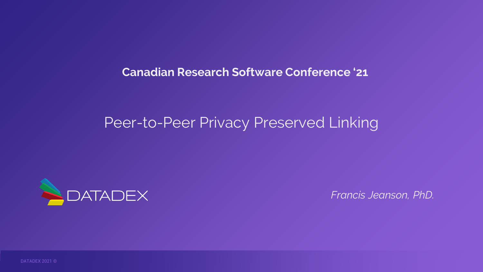**Canadian Research Software Conference '21**

### Peer-to-Peer Privacy Preserved Linking



*Francis Jeanson, PhD.*

DATADEX 2021 ©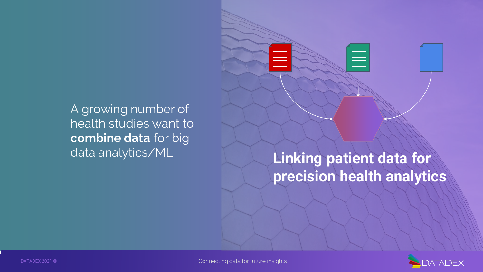A growing number of health studies want to **combine data** for big

# data analytics/ML **Linking patient data for precision health analytics**

≣

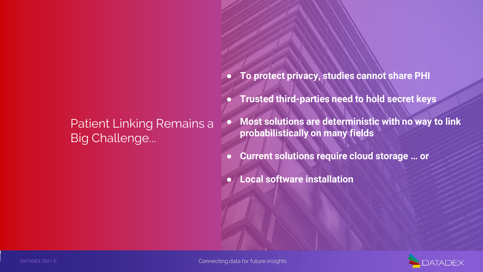### Patient Linking Remains a **Big Challenge...**

- **To protect privacy, studies cannot share PHI**
- **Trusted third-parties need to hold secret keys**
- **Most solutions are deterministic with no way to link probabilistically on many fields**
- **Current solutions require cloud storage … or**
- **Local software installation**

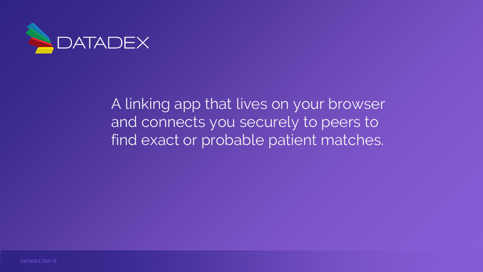

A linking app that lives on your browser and connects you securely to peers to find exact or probable patient matches.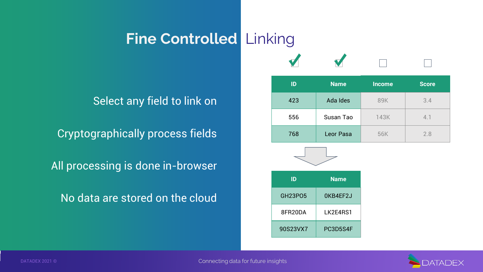## **Fine Controlled** Linking

Select any field to link on

Cryptographically process fields 198 and 1968 Leor Pasa 1 56K 2.8

All processing is done in-browser

No data are stored on the cloud

| ID  | <b>Name</b> | <b>Income</b> | <b>Score</b> |
|-----|-------------|---------------|--------------|
| 423 | Ada Ides    | 89K           | 3.4          |
|     |             |               |              |

▲

**556 | Susan Tao | 143K | 4.1** 

| ID             | <b>Name</b> |  |  |  |
|----------------|-------------|--|--|--|
| <b>GH23P05</b> | OKB4EF2J    |  |  |  |
| 8FR20DA        | LK2E4RS1    |  |  |  |
| 90S23VX7       | PC3D5S4F    |  |  |  |

 $\overline{a}$ 

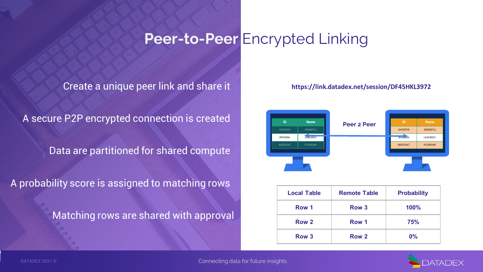### **Peer-to-Peer** Encrypted Linking

Create a unique peer link and share it

A secure P2P encrypted connection is created

Data are partitioned for shared compute

A probability score is assigned to matching rows

Matching rows are shared with approval

#### **https://link.datadex.net/session/DF45HKL3972**



| <b>Local Table</b> | <b>Remote Table</b> | <b>Probability</b> |
|--------------------|---------------------|--------------------|
| Row 1              | Row <sub>3</sub>    | 100%               |
| Row <sub>2</sub>   | Row 1               | <b>75%</b>         |
| Row <sub>3</sub>   | Row 2               | $0\%$              |

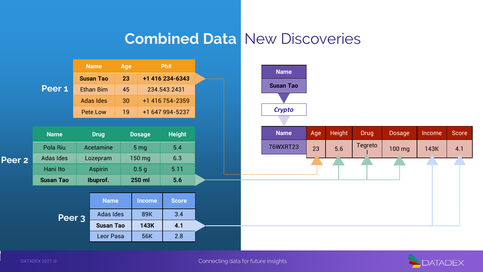### **Combined Data** New Discoveries



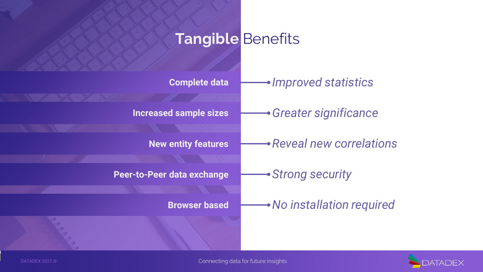## **Tangible** Benefits

| Complete data                 | • Improved statistics      |
|-------------------------------|----------------------------|
| <b>Increased sample sizes</b> | • Greater significance     |
| <b>New entity features</b>    | • Reveal new correlations  |
| Peer-to-Peer data exchange    | → Strong security          |
|                               |                            |
| <b>Browser based</b>          | • No installation required |
|                               |                            |

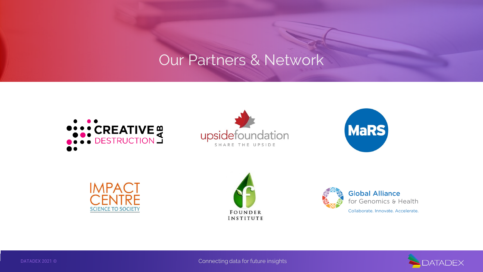### Our Partners & Network















DATADEX 2021 © Connecting data for future insights